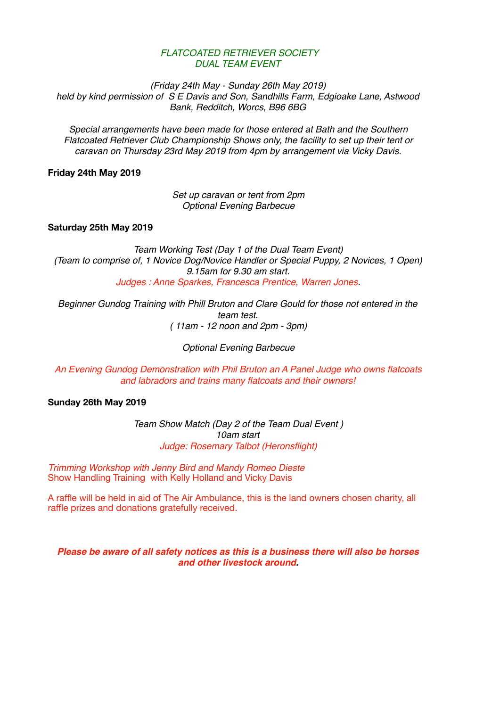## *FLATCOATED RETRIEVER SOCIETY DUAL TEAM EVENT*

*(Friday 24th May - Sunday 26th May 2019) held by kind permission of S E Davis and Son, Sandhills Farm, Edgioake Lane, Astwood Bank, Redditch, Worcs, B96 6BG*

*Special arrangements have been made for those entered at Bath and the Southern Flatcoated Retriever Club Championship Shows only, the facility to set up their tent or caravan on Thursday 23rd May 2019 from 4pm by arrangement via Vicky Davis.*

**Friday 24th May 2019** 

*Set up caravan or tent from 2pm Optional Evening Barbecue*

**Saturday 25th May 2019** 

*Team Working Test (Day 1 of the Dual Team Event) (Team to comprise of, 1 Novice Dog/Novice Handler or Special Puppy, 2 Novices, 1 Open) 9.15am for 9.30 am start. Judges : Anne Sparkes, Francesca Prentice, Warren Jones.*

*Beginner Gundog Training with Phill Bruton and Clare Gould for those not entered in the team test. ( 11am - 12 noon and 2pm - 3pm)*

*Optional Evening Barbecue* 

*An Evening Gundog Demonstration with Phil Bruton an A Panel Judge who owns flatcoats and labradors and trains many flatcoats and their owners!*

**Sunday 26th May 2019** 

*Team Show Match (Day 2 of the Team Dual Event ) 10am start Judge: Rosemary Talbot (Heronsflight)*

*Trimming Workshop with Jenny Bird and Mandy Romeo Dieste* Show Handling Training with Kelly Holland and Vicky Davis

A raffle will be held in aid of The Air Ambulance, this is the land owners chosen charity, all raffle prizes and donations gratefully received.

*Please be aware of all safety notices as this is a business there will also be horses and other livestock around.*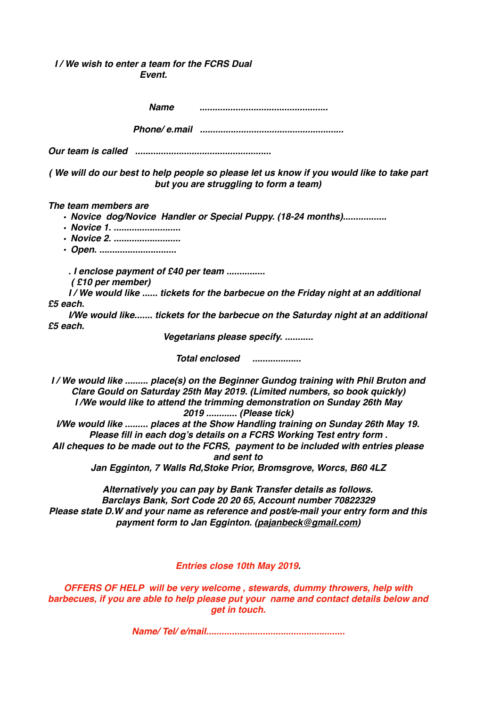## *I / We wish to enter a team for the FCRS Dual Event.*

|                                          | <b>Name</b>                           |                     |                                                                                                                                                                                                                                                                                                                                                                                                                                                                                       |  |
|------------------------------------------|---------------------------------------|---------------------|---------------------------------------------------------------------------------------------------------------------------------------------------------------------------------------------------------------------------------------------------------------------------------------------------------------------------------------------------------------------------------------------------------------------------------------------------------------------------------------|--|
|                                          |                                       |                     |                                                                                                                                                                                                                                                                                                                                                                                                                                                                                       |  |
|                                          |                                       |                     |                                                                                                                                                                                                                                                                                                                                                                                                                                                                                       |  |
|                                          |                                       |                     | (We will do our best to help people so please let us know if you would like to take part<br>but you are struggling to form a team)                                                                                                                                                                                                                                                                                                                                                    |  |
| The team members are                     | • Novice 1.<br>• Novice 2.<br>• Open. |                     | · Novice dog/Novice Handler or Special Puppy. (18-24 months)                                                                                                                                                                                                                                                                                                                                                                                                                          |  |
| (£10 per member)<br>£5 each.<br>£5 each. | . I enclose payment of £40 per team   |                     | I/We would like  tickets for the barbecue on the Friday night at an additional<br>I/We would like tickets for the barbecue on the Saturday night at an additional                                                                                                                                                                                                                                                                                                                     |  |
|                                          |                                       |                     | Vegetarians please specify.                                                                                                                                                                                                                                                                                                                                                                                                                                                           |  |
|                                          |                                       |                     | Total enclosed <i>www.frageneral</i>                                                                                                                                                                                                                                                                                                                                                                                                                                                  |  |
|                                          |                                       | 2019  (Please tick) | I/We would like  place(s) on the Beginner Gundog training with Phil Bruton and<br>Clare Gould on Saturday 25th May 2019. (Limited numbers, so book quickly)<br>I /We would like to attend the trimming demonstration on Sunday 26th May<br>I/We would like  places at the Show Handling training on Sunday 26th May 19.<br>Please fill in each dog's details on a FCRS Working Test entry form.<br>All cheques to be made out to the FCRS, payment to be included with entries please |  |

*and sent to*

*Jan Egginton, 7 Walls Rd,Stoke Prior, Bromsgrove, Worcs, B60 4LZ*

*Alternatively you can pay by Bank Transfer details as follows. Barclays Bank, Sort Code 20 20 65, Account number 70822329 Please state D.W and your name as reference and post/e-mail your entry form and this payment form to Jan Egginton. [\(pajanbeck@gmail.com](mailto:pajanbeck@gmail.com))*

*Entries close 10th May 2019.*

*OFFERS OF HELP will be very welcome , stewards, dummy throwers, help with barbecues, if you are able to help please put your name and contact details below and get in touch.*

*Name/ Tel/ e/mail......................................................*